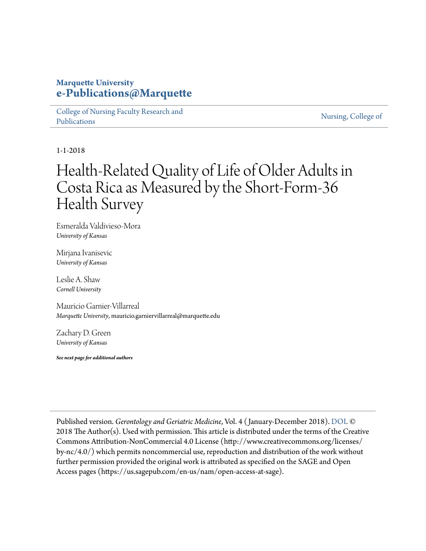### **Marquette University [e-Publications@Marquette](https://epublications.marquette.edu/)**

[College of Nursing Faculty Research and](https://epublications.marquette.edu/nursing_fac) [Publications](https://epublications.marquette.edu/nursing_fac)

[Nursing, College of](https://epublications.marquette.edu/nursing)

1-1-2018

# Health-Related Quality of Life of Older Adults in Costa Rica as Measured by the Short-Form-36 Health Survey

Esmeralda Valdivieso-Mora *University of Kansas*

Mirjana Ivanisevic *University of Kansas*

Leslie A. Shaw *Cornell University*

Mauricio Garnier-Villarreal *Marquette University*, mauricio.garniervillarreal@marquette.edu

Zachary D. Green *University of Kansas*

*See next page for additional authors*

Published version. *Gerontology and Geriatric Medicine*, Vol. 4 ( January-December 2018). [DOI.](https://doi.org/10.1177/2333721418782812) © 2018 The Author(s). Used with permission. This article is distributed under the terms of the Creative Commons Attribution-NonCommercial 4.0 License (http://www.creativecommons.org/licenses/ by-nc/4.0/) which permits noncommercial use, reproduction and distribution of the work without further permission provided the original work is attributed as specified on the SAGE and Open Access pages (https://us.sagepub.com/en-us/nam/open-access-at-sage).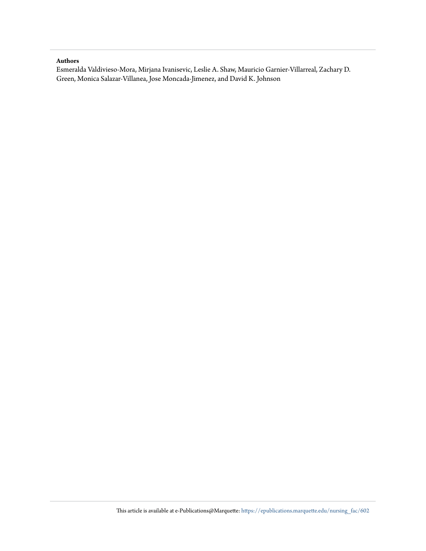#### **Authors**

Esmeralda Valdivieso-Mora, Mirjana Ivanisevic, Leslie A. Shaw, Mauricio Garnier-Villarreal, Zachary D. Green, Monica Salazar-Villanea, Jose Moncada-Jimenez, and David K. Johnson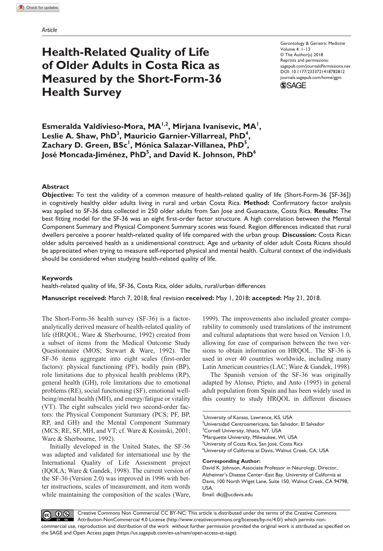## **Health-Related Quality of Life of Older Adults in Costa Rica as Measured by the Short-Form-36 Health Survey**

https://doi.org/10.1177/2333721418782812 DOI: 10.1177/2333721418782812 Gerontology & Geriatric Medicine Volume 4: 1–13 © The Author(s) 2018 Reprints and permissions: [sagepub.com/journalsPermissions.nav](https://us.sagepub.com/en-us/journals-permissions) [journals.sagepub.com/home/ggm](https://journals.sagepub.com/home/ggm)



Esmeralda Valdivieso-Mora, MA<sup>1,2</sup>, Mirjana Ivanisevic, MA<sup>1</sup>, Leslie A. Shaw, PhD<sup>3</sup>, Mauricio Garnier-Villarreal, PhD<sup>4</sup>,  $\mathsf{Zachary}\ \mathsf{D.\ Green}\ \mathsf{BSc}^{\mathsf{I}},\ \mathsf{Mónica}\ \mathsf{Salazar\text{-}Villanea}\ \mathsf{PhD}^{\mathsf{S}},$ **José Moncada-Jiménez, PhD** $^5$ **, and David K. Johnson, PhD** $^6$ 

#### **Abstract**

**Objective:** To test the validity of a common measure of health-related quality of life (Short-Form-36 [SF-36]) in cognitively healthy older adults living in rural and urban Costa Rica. **Method:** Confirmatory factor analysis was applied to SF-36 data collected in 250 older adults from San Jose and Guanacaste, Costa Rica. **Results:** The best fitting model for the SF-36 was an eight first-order factor structure. A high correlation between the Mental Component Summary and Physical Component Summary scores was found. Region differences indicated that rural dwellers perceive a poorer health-related quality of life compared with the urban group. **Discussion:** Costa Rican older adults perceived health as a unidimensional construct. Age and urbanity of older adult Costa Ricans should be appreciated when trying to measure self-reported physical and mental health. Cultural context of the individuals should be considered when studying health-related quality of life.

#### **Keywords**

health-related quality of life, SF-36, Costa Rica, older adults, rural/urban differences

**Manuscript received:** March 7, 2018; final revision **received:** May 1, 2018; **accepted:** May 21, 2018.

The Short-Form-36 health survey (SF-36) is a factoranalytically derived measure of health-related quality of life (HRQOL; Ware & Sherbourne, 1992) created from a subset of items from the Medical Outcome Study Questionnaire (MOS; Stewart & Ware, 1992). The SF-36 items aggregate into eight scales (first-order factors): physical functioning (PF), bodily pain (BP), role limitations due to physical health problems (RP), general health (GH), role limitations due to emotional problems (RE), social functioning (SF), emotional wellbeing/mental health (MH), and energy/fatigue or vitality (VT). The eight subscales yield two second-order factors: the Physical Component Summary (PCS; PF, BP, RP, and GH) and the Mental Component Summary (MCS; RE, SF, MH, and VT; cf. Ware & Kosinski, 2001; Ware & Sherbourne, 1992).

Initially developed in the United States, the SF-36 was adapted and validated for international use by the International Quality of Life Assessment project (IQOLA; Ware & Gandek, 1998). The current version of the SF-36 (Version 2.0) was improved in 1996 with better instructions, scales of measurement, and item words while maintaining the composition of the scales (Ware,

1999). The improvements also included greater comparability to commonly used translations of the instrument and cultural adaptations that were based on Version 1.0, allowing for ease of comparison between the two versions to obtain information on HRQOL. The SF-36 is used in over 40 countries worldwide, including many Latin American countries (LAC; Ware & Gandek, 1998).

The Spanish version of the SF-36 was originally adapted by Alonso, Prieto, and Anto (1995) in general adult population from Spain and has been widely used in this country to study HRQOL in different diseases

#### **Corresponding Author:**

David K. Johnson, Associate Professor in Neurology, Director, Alzheimer's Disease Center–East Bay, University of California at Davis, 100 North Wiget Lane, Suite 150, Walnut Creek, CA 94798, USA.

Email: [dkj@ucdavis.edu](mailto:dkj@ucdavis.edu)

 $\circledcirc$   $\circledcirc$ Creative Commons Non Commercial CC BY-NC: This article is distributed under the terms of the Creative Commons Attribution-NonCommercial 4.0 License (http://www.creativecommons.org/licenses/by-nc/4.0/) which permits noncommercial use, reproduction and distribution of the work without further permission provided the original work is attributed as specified on the SAGE and Open Access pages (https://us.sagepub.com/en-us/nam/open-access-at-sage).

<sup>1</sup> University of Kansas, Lawrence, KS, USA 2 Universidad Centroamericana, San Salvador, El Salvador <sup>3</sup>Cornell University, Ithaca, NY, USA 4 Marquette University, Milwaukee, WI, USA <sup>5</sup>University of Costa Rica, San José, Costa Rica 6 University of California at Davis, Walnut Creek, CA, USA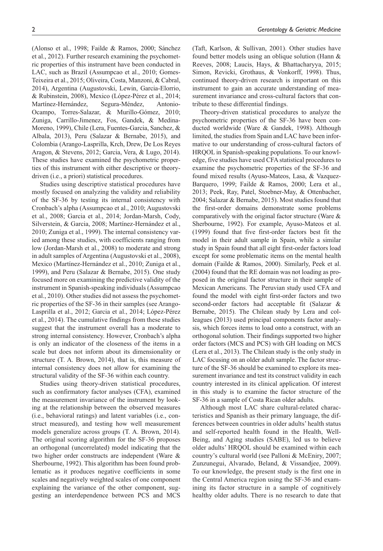(Alonso et al., 1998; Failde & Ramos, 2000; Sánchez et al., 2012). Further research examining the psychometric properties of this instrument have been conducted in LAC, such as Brazil (Assumpcao et al., 2010; Gomes-Teixeira et al., 2015; Oliveira, Costa, Manzoni, & Cabral, 2014), Argentina (Augustovski, Lewin, Garcia-Elorrio, & Rubinstein, 2008), Mexico (López-Pérez et al., 2014; Martínez-Hernández, Segura-Méndez, Antonio-Ocampo, Torres-Salazar, & Murillo-Gómez, 2010; Zuniga, Carrillo-Jimenez, Fos, Gandek, & Medina-Moreno, 1999), Chile (Lera, Fuentes-Garcia, Sanchez, & Albala, 2013), Peru (Salazar & Bernabe, 2015), and Colombia (Arango-Lasprilla, Krch, Drew, De Los Reyes Aragon, & Stevens, 2012; Garcia, Vera, & Lugo, 2014). These studies have examined the psychometric properties of this instrument with either descriptive or theorydriven (i.e., a priori) statistical procedures.

Studies using descriptive statistical procedures have mostly focused on analyzing the validity and reliability of the SF-36 by testing its internal consistency with Cronbach's alpha (Assumpcao et al., 2010; Augustovski et al., 2008; Garcia et al., 2014; Jordan-Marsh, Cody, Silverstein, & Garcia, 2008; Martínez-Hernández et al., 2010; Zuniga et al., 1999). The internal consistency varied among these studies, with coefficients ranging from low (Jordan-Marsh et al., 2008) to moderate and strong in adult samples of Argentina (Augustovski et al., 2008), Mexico (Martínez-Hernández et al., 2010; Zuniga et al., 1999), and Peru (Salazar & Bernabe, 2015). One study focused more on examining the predictive validity of the instrument in Spanish-speaking individuals (Assumpcao et al., 2010). Other studies did not assess the psychometric properties of the SF-36 in their samples (see Arango-Lasprilla et al., 2012; Garcia et al., 2014; López-Pérez et al., 2014). The cumulative findings from these studies suggest that the instrument overall has a moderate to strong internal consistency. However, Cronbach's alpha is only an indicator of the closeness of the items in a scale but does not inform about its dimensionality or structure (T. A. Brown, 2014), that is, this measure of internal consistency does not allow for examining the structural validity of the SF-36 within each country.

Studies using theory-driven statistical procedures, such as confirmatory factor analyses (CFA), examined the measurement invariance of the instrument by looking at the relationship between the observed measures (i.e., behavioral ratings) and latent variables (i.e., construct measured), and testing how well measurement models generalize across groups (T. A. Brown, 2014). The original scoring algorithm for the SF-36 proposes an orthogonal (uncorrelated) model indicating that the two higher order constructs are independent (Ware & Sherbourne, 1992). This algorithm has been found problematic as it produces negative coefficients in some scales and negatively weighted scales of one component explaining the variance of the other component, suggesting an interdependence between PCS and MCS

(Taft, Karlson, & Sullivan, 2001). Other studies have found better models using an oblique solution (Hann & Reeves, 2008; Laucis, Hays, & Bhattacharyya, 2015; Simon, Revicki, Grothaus, & Vonkorff, 1998). Thus, continued theory-driven research is important on this instrument to gain an accurate understanding of measurement invariance and cross-cultural factors that contribute to these differential findings.

Theory-driven statistical procedures to analyze the psychometric properties of the SF-36 have been conducted worldwide (Ware & Gandek, 1998). Although limited, the studies from Spain and LAC have been informative to our understanding of cross-cultural factors of HRQOL in Spanish-speaking populations. To our knowledge, five studies have used CFA statistical procedures to examine the psychometric properties of the SF-36 and found mixed results (Ayuso-Mateos, Lasa, & Vazquez-Barquero, 1999; Failde & Ramos, 2000; Lera et al., 2013; Peek, Ray, Patel, Stoebner-May, & Ottenbacher, 2004; Salazar & Bernabe, 2015). Most studies found that the first-order domains demonstrate some problems comparatively with the original factor structure (Ware & Sherbourne, 1992). For example, Ayuso-Mateos et al. (1999) found that five first-order factors best fit the model in their adult sample in Spain, while a similar study in Spain found that all eight first-order factors load except for some problematic items on the mental health domain (Failde & Ramos, 2000). Similarly, Peek et al. (2004) found that the RE domain was not loading as proposed in the original factor structure in their sample of Mexican Americans. The Peruvian study used CFA and found the model with eight first-order factors and two second-order factors had acceptable fit (Salazar & Bernabe, 2015). The Chilean study by Lera and colleagues (2013) used principal components factor analysis, which forces items to load onto a construct, with an orthogonal solution. Their findings supported two higher order factors (MCS and PCS) with GH loading on MCS (Lera et al., 2013). The Chilean study is the only study in LAC focusing on an older adult sample. The factor structure of the SF-36 should be examined to explore its measurement invariance and test its construct validity in each country interested in its clinical application. Of interest in this study is to examine the factor structure of the SF-36 in a sample of Costa Rican older adults.

Although most LAC share cultural-related characteristics and Spanish as their primary language, the differences between countries in older adults' health status and self-reported health found in the Health, Well-Being, and Aging studies (SABE), led us to believe older adults' HRQOL should be examined within each country's cultural world (see Palloni & McEniry, 2007; Zunzunegui, Alvarado, Beland, & Vissandjee, 2009). To our knowledge, the present study is the first one in the Central America region using the SF-36 and examining its factor structure in a sample of cognitively healthy older adults. There is no research to date that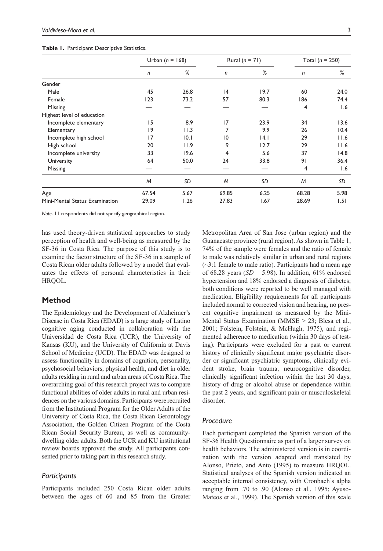|  | Table 1. Participant Descriptive Statistics. |
|--|----------------------------------------------|
|--|----------------------------------------------|

|                                | Urban $(n = 168)$ |      | Rural $(n = 71)$ |      | Total ( $n = 250$ ) |      |
|--------------------------------|-------------------|------|------------------|------|---------------------|------|
|                                | n                 | %    | n                | %    | $\mathsf{n}$        | %    |
| Gender                         |                   |      |                  |      |                     |      |
| Male                           | 45                | 26.8 | 4                | 19.7 | 60                  | 24.0 |
| Female                         | 123               | 73.2 | 57               | 80.3 | 186                 | 74.4 |
| Missing                        |                   |      |                  |      | 4                   | 1.6  |
| Highest level of education     |                   |      |                  |      |                     |      |
| Incomplete elementary          | 15                | 8.9  | 17               | 23.9 | 34                  | 13.6 |
| Elementary                     | 9                 | 11.3 | 7                | 9.9  | 26                  | 10.4 |
| Incomplete high school         | 17                | 0.1  | $\overline{10}$  | 4.1  | 29                  | 11.6 |
| High school                    | 20                | 11.9 | 9                | 12.7 | 29                  | 11.6 |
| Incomplete university          | 33                | 19.6 | 4                | 5.6  | 37                  | 14.8 |
| University                     | 64                | 50.0 | 24               | 33.8 | 91                  | 36.4 |
| Missing                        |                   |      |                  |      | 4                   | 1.6  |
|                                | M                 | SD   | M                | SD   | M                   | SD   |
| Age                            | 67.54             | 5.67 | 69.85            | 6.25 | 68.28               | 5.98 |
| Mini-Mental Status Examination | 29.09             | 1.26 | 27.83            | 1.67 | 28.69               | 1.51 |

*Note*. 11 respondents did not specify geographical region.

has used theory-driven statistical approaches to study perception of health and well-being as measured by the SF-36 in Costa Rica. The purpose of this study is to examine the factor structure of the SF-36 in a sample of Costa Rican older adults followed by a model that evaluates the effects of personal characteristics in their HRQOL.

#### **Method**

The Epidemiology and the Development of Alzheimer's Disease in Costa Rica (EDAD) is a large study of Latino cognitive aging conducted in collaboration with the Universidad de Costa Rica (UCR), the University of Kansas (KU), and the University of California at Davis School of Medicine (UCD). The EDAD was designed to assess functionality in domains of cognition, personality, psychosocial behaviors, physical health, and diet in older adults residing in rural and urban areas of Costa Rica. The overarching goal of this research project was to compare functional abilities of older adults in rural and urban residences on the various domains. Participants were recruited from the Institutional Program for the Older Adults of the University of Costa Rica, the Costa Rican Gerontology Association, the Golden Citizen Program of the Costa Rican Social Security Bureau, as well as communitydwelling older adults. Both the UCR and KU institutional review boards approved the study. All participants consented prior to taking part in this research study.

#### *Participants*

Participants included 250 Costa Rican older adults between the ages of 60 and 85 from the Greater

Metropolitan Area of San Jose (urban region) and the Guanacaste province (rural region). As shown in Table 1, 74% of the sample were females and the ratio of female to male was relatively similar in urban and rural regions  $(\sim$ 3:1 female to male ratio). Participants had a mean age of 68.28 years  $(SD = 5.98)$ . In addition, 61% endorsed hypertension and 18% endorsed a diagnosis of diabetes; both conditions were reported to be well managed with medication. Eligibility requirements for all participants included normal to corrected vision and hearing, no present cognitive impairment as measured by the Mini-Mental Status Examination (MMSE > 23; Blesa et al., 2001; Folstein, Folstein, & McHugh, 1975), and regimented adherence to medication (within 30 days of testing). Participants were excluded for a past or current history of clinically significant major psychiatric disorder or significant psychiatric symptoms, clinically evident stroke, brain trauma, neurocognitive disorder, clinically significant infection within the last 30 days, history of drug or alcohol abuse or dependence within the past 2 years, and significant pain or musculoskeletal disorder.

#### *Procedure*

Each participant completed the Spanish version of the SF-36 Health Questionnaire as part of a larger survey on health behaviors. The administered version is in coordination with the version adapted and translated by Alonso, Prieto, and Anto (1995) to measure HRQOL. Statistical analyses of the Spanish version indicated an acceptable internal consistency, with Cronbach's alpha ranging from .70 to .90 (Alonso et al., 1995; Ayuso-Mateos et al., 1999). The Spanish version of this scale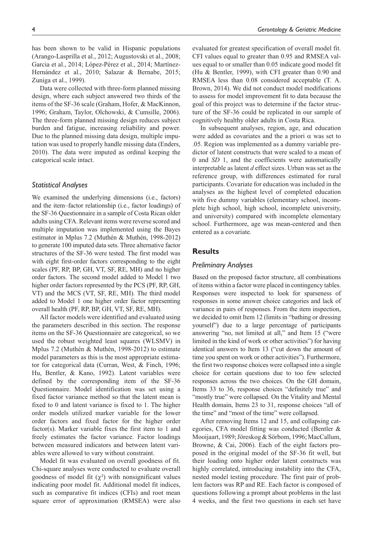has been shown to be valid in Hispanic populations (Arango-Lasprilla et al., 2012; Augustovski et al., 2008; Garcia et al., 2014; López-Pérez et al., 2014; Martínez-Hernández et al., 2010; Salazar & Bernabe, 2015; Zuniga et al., 1999).

Data were collected with three-form planned missing design, where each subject answered two thirds of the items of the SF-36 scale (Graham, Hofer, & MacKinnon, 1996; Graham, Taylor, Olchowski, & Cumsille, 2006). The three-form planned missing design reduces subject burden and fatigue, increasing reliability and power. Due to the planned missing data design, multiple imputation was used to properly handle missing data (Enders, 2010). The data were imputed as ordinal keeping the categorical scale intact.

#### *Statistical Analyses*

We examined the underlying dimensions (i.e., factors) and the item–factor relationship (i.e., factor loadings) of the SF-36 Questionnaire in a sample of Costa Rican older adults using CFA. Relevant items were reverse scored and multiple imputation was implemented using the Bayes estimator in Mplus 7.2 (Muthén & Muthén, 1998-2012) to generate 100 imputed data sets. Three alternative factor structures of the SF-36 were tested. The first model was with eight first-order factors corresponding to the eight scales (PF, RP, BP, GH, VT, SF, RE, MH) and no higher order factors. The second model added to Model 1 two higher order factors represented by the PCS (PF, RP, GH, VT) and the MCS (VT, SF, RE, MH). The third model added to Model 1 one higher order factor representing overall health (PF, RP, BP, GH, VT, SF, RE, MH).

All factor models were identified and evaluated using the parameters described in this section. The response items on the SF-36 Questionnaire are categorical, so we used the robust weighted least squares (WLSMV) in Mplus 7.2 (Muthén & Muthén, 1998-2012) to estimate model parameters as this is the most appropriate estimator for categorical data (Curran, West, & Finch, 1996; Hu, Bentler, & Kano, 1992). Latent variables were defined by the corresponding item of the SF-36 Questionnaire. Model identification was set using a fixed factor variance method so that the latent mean is fixed to 0 and latent variance is fixed to 1. The higher order models utilized marker variable for the lower order factors and fixed factor for the higher order factor(s). Marker variable fixes the first item to 1 and freely estimates the factor variance. Factor loadings between measured indicators and between latent variables were allowed to vary without constraint.

Model fit was evaluated on overall goodness of fit. Chi-square analyses were conducted to evaluate overall goodness of model fit  $(\chi^2)$  with nonsignificant values indicating poor model fit. Additional model fit indices, such as comparative fit indices (CFIs) and root mean square error of approximation (RMSEA) were also

evaluated for greatest specification of overall model fit. CFI values equal to greater than 0.95 and RMSEA values equal to or smaller than 0.05 indicate good model fit (Hu & Bentler, 1999), with CFI greater than 0.90 and RMSEA less than 0.08 considered acceptable (T. A. Brown, 2014). We did not conduct model modifications to assess for model improvement fit to data because the goal of this project was to determine if the factor structure of the SF-36 could be replicated in our sample of cognitively healthy older adults in Costa Rica.

In subsequent analyses, region, age, and education were added as covariates and the a priori  $\alpha$  was set to .05. Region was implemented as a dummy variable predictor of latent constructs that were scaled to a mean of 0 and *SD* 1, and the coefficients were automatically interpretable as latent *d* effect sizes. Urban was set as the reference group, with differences estimated for rural participants. Covariate for education was included in the analyses as the highest level of completed education with five dummy variables (elementary school, incomplete high school, high school, incomplete university, and university) compared with incomplete elementary school. Furthermore, age was mean-centered and then entered as a covariate.

#### **Results**

#### *Preliminary Analyses*

Based on the proposed factor structure, all combinations of items within a factor were placed in contingency tables. Responses were inspected to look for sparseness of responses in some answer choice categories and lack of variance in pairs of responses. From the item inspection, we decided to omit Item 12 (limits in "bathing or dressing yourself") due to a large percentage of participants answering "no, not limited at all," and Item 15 ("were limited in the kind of work or other activities") for having identical answers to Item 13 ("cut down the amount of time you spent on work or other activities"). Furthermore, the first two response choices were collapsed into a single choice for certain questions due to too few selected responses across the two choices. On the GH domain, Items 33 to 36, response choices "definitely true" and "mostly true" were collapsed. On the Vitality and Mental Health domain, Items 23 to 31, response choices "all of the time" and "most of the time" were collapsed.

After removing Items 12 and 15, and collapsing categories, CFA model fitting was conducted (Bentler & Mooijaart, 1989; Jöreskog & Sörbom, 1996; MacCallum, Browne, & Cai, 2006). Each of the eight factors proposed in the original model of the SF-36 fit well, but their loading onto higher order latent constructs was highly correlated, introducing instability into the CFA, nested model testing procedure. The first pair of problem factors was RP and RE. Each factor is composed of questions following a prompt about problems in the last 4 weeks, and the first two questions in each set have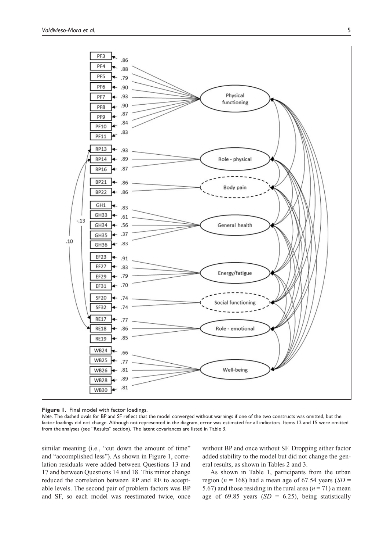

**Figure 1.** Final model with factor loadings.

*Note*. The dashed ovals for BP and SF reflect that the model converged without warnings if one of the two constructs was omitted, but the factor loadings did not change. Although not represented in the diagram, error was estimated for all indicators. Items 12 and 15 were omitted from the analyses (see "Results" section). The latent covariances are listed in Table 3.

similar meaning (i.e., "cut down the amount of time" and "accomplished less"). As shown in Figure 1, correlation residuals were added between Questions 13 and 17 and between Questions 14 and 18. This minor change reduced the correlation between RP and RE to acceptable levels. The second pair of problem factors was BP and SF, so each model was reestimated twice, once

without BP and once without SF. Dropping either factor added stability to the model but did not change the general results, as shown in Tables 2 and 3.

As shown in Table 1, participants from the urban region ( $n = 168$ ) had a mean age of 67.54 years (*SD* = 5.67) and those residing in the rural area  $(n = 71)$  a mean age of 69.85 years  $(SD = 6.25)$ , being statistically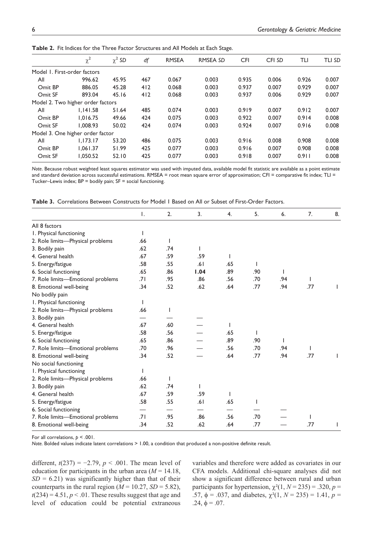|                                   | $\chi^2$ | $\chi^2$ SD | df  | <b>RMSEA</b> | <b>RMSEA SD</b> | <b>CFI</b> | CFI SD | TLI   | <b>TLI SD</b> |
|-----------------------------------|----------|-------------|-----|--------------|-----------------|------------|--------|-------|---------------|
| Model 1. First-order factors      |          |             |     |              |                 |            |        |       |               |
| All                               | 996.62   | 45.95       | 467 | 0.067        | 0.003           | 0.935      | 0.006  | 0.926 | 0.007         |
| Omit BP                           | 886.05   | 45.28       | 412 | 0.068        | 0.003           | 0.937      | 0.007  | 0.929 | 0.007         |
| Omit SF                           | 893.04   | 45.16       | 412 | 0.068        | 0.003           | 0.937      | 0.006  | 0.929 | 0.007         |
| Model 2. Two higher order factors |          |             |     |              |                 |            |        |       |               |
| All                               | 1.141.58 | 51.64       | 485 | 0.074        | 0.003           | 0.919      | 0.007  | 0.912 | 0.007         |
| Omit BP                           | 1.016.75 | 49.66       | 424 | 0.075        | 0.003           | 0.922      | 0.007  | 0.914 | 0.008         |
| Omit SF                           | 1.008.93 | 50.02       | 424 | 0.074        | 0.003           | 0.924      | 0.007  | 0.916 | 0.008         |
| Model 3. One higher order factor  |          |             |     |              |                 |            |        |       |               |
| All                               | 1.173.17 | 53.20       | 486 | 0.075        | 0.003           | 0.916      | 0.008  | 0.908 | 0.008         |
| Omit BP                           | 1.061.37 | 51.99       | 425 | 0.077        | 0.003           | 0.916      | 0.007  | 0.908 | 0.008         |
| Omit SF                           | 1.050.52 | 52.10       | 425 | 0.077        | 0.003           | 0.918      | 0.007  | 0.911 | 0.008         |

**Table 2.** Fit Indices for the Three Factor Structures and All Models at Each Stage.

*Note*. Because robust weighted least squares estimator was used with imputed data, available model fit statistic are available as a point estimate and standard deviation across successful estimations. RMSEA = root mean square error of approximation; CFI = comparative fit index; TLI = Tucker–Lewis index; BP = bodily pain; SF = social functioning.

|  |  |  |  |  |  |  | <b>Table 3.</b> Correlations Between Constructs for Model 1 Based on All or Subset of First-Order Factors. |  |
|--|--|--|--|--|--|--|------------------------------------------------------------------------------------------------------------|--|
|--|--|--|--|--|--|--|------------------------------------------------------------------------------------------------------------|--|

|                                   | Ι.  | 2.  | 3.   | 4.           | 5.  | 6.  | 7.  | 8. |
|-----------------------------------|-----|-----|------|--------------|-----|-----|-----|----|
| All 8 factors                     |     |     |      |              |     |     |     |    |
| I. Physical functioning           |     |     |      |              |     |     |     |    |
| 2. Role limits-Physical problems  | .66 | I   |      |              |     |     |     |    |
| 3. Bodily pain                    | .62 | .74 | L    |              |     |     |     |    |
| 4. General health                 | .67 | .59 | .59  |              |     |     |     |    |
| 5. Energy/fatigue                 | .58 | .55 | .61  | .65          | I   |     |     |    |
| 6. Social functioning             | .65 | .86 | 1.04 | .89          | .90 |     |     |    |
| 7. Role limits-Emotional problems | .71 | .95 | .86  | .56          | .70 | .94 | ı   |    |
| 8. Emotional well-being           | .34 | .52 | .62  | .64          | .77 | .94 | .77 |    |
| No bodily pain                    |     |     |      |              |     |     |     |    |
| I. Physical functioning           |     |     |      |              |     |     |     |    |
| 2. Role limits-Physical problems  | .66 | ı   |      |              |     |     |     |    |
| 3. Bodily pain                    |     |     |      |              |     |     |     |    |
| 4. General health                 | .67 | .60 |      |              |     |     |     |    |
| 5. Energy/fatigue                 | .58 | .56 |      | .65          | I   |     |     |    |
| 6. Social functioning             | .65 | .86 |      | .89          | .90 |     |     |    |
| 7. Role limits-Emotional problems | .70 | .96 |      | .56          | .70 | .94 | ı   |    |
| 8. Emotional well-being           | .34 | .52 |      | .64          | .77 | .94 | .77 |    |
| No social functioning             |     |     |      |              |     |     |     |    |
| I. Physical functioning           |     |     |      |              |     |     |     |    |
| 2. Role limits-Physical problems  | .66 |     |      |              |     |     |     |    |
| 3. Bodily pain                    | .62 | .74 | T    |              |     |     |     |    |
| 4. General health                 | .67 | .59 | .59  | $\mathbf{I}$ |     |     |     |    |
| 5. Energy/fatigue                 | .58 | .55 | .61  | .65          |     |     |     |    |
| 6. Social functioning             |     |     |      |              |     |     |     |    |
| 7. Role limits-Emotional problems | .71 | .95 | .86  | .56          | .70 |     |     |    |
| 8. Emotional well-being           | .34 | .52 | .62  | .64          | .77 |     | .77 |    |

For all correlations,  $p < .001$ .

*Note.* Bolded values indicate latent correlations > 1.00, a condition that produced a non-positive definite result.

different,  $t(237) = -2.79$ ,  $p$  < .001. The mean level of education for participants in the urban area  $(M = 14.18,$  $SD = 6.21$ ) was significantly higher than that of their counterparts in the rural region ( $M = 10.27$ ,  $SD = 5.82$ ),  $t(234) = 4.51, p < .01$ . These results suggest that age and level of education could be potential extraneous

variables and therefore were added as covariates in our CFA models. Additional chi-square analyses did not show a significant difference between rural and urban participants for hypertension,  $\chi^2(1, N = 235) = .320$ ,  $p =$ .57,  $φ = .037$ , and diabetes,  $χ<sup>2</sup>(1, N = 235) = 1.41, p =$  $.24, φ = .07.$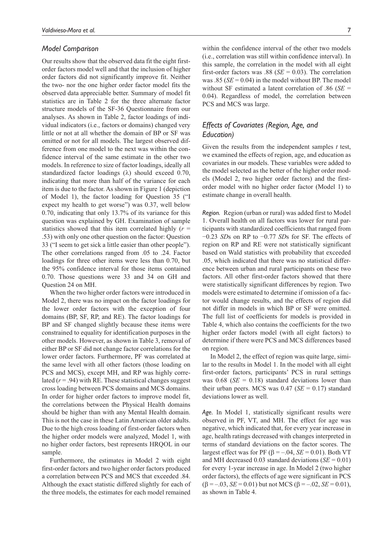#### *Model Comparison*

Our results show that the observed data fit the eight firstorder factors model well and that the inclusion of higher order factors did not significantly improve fit. Neither the two- nor the one higher order factor model fits the observed data appreciable better. Summary of model fit statistics are in Table 2 for the three alternate factor structure models of the SF-36 Questionnaire from our analyses. As shown in Table 2, factor loadings of individual indicators (i.e., factors or domains) changed very little or not at all whether the domain of BP or SF was omitted or not for all models. The largest observed difference from one model to the next was within the confidence interval of the same estimate in the other two models. In reference to size of factor loadings, ideally all standardized factor loadings (λ) should exceed 0.70, indicating that more than half of the variance for each item is due to the factor. As shown in Figure 1 (depiction of Model 1), the factor loading for Question 35 ("I expect my health to get worse") was 0.37, well below 0.70, indicating that only 13.7% of its variance for this question was explained by GH. Examination of sample statistics showed that this item correlated highly (*r* = .53) with only one other question on the factor: Question 33 ("I seem to get sick a little easier than other people"). The other correlations ranged from .05 to .24. Factor loadings for three other items were less than 0.70, but the 95% confidence interval for those items contained 0.70. Those questions were 33 and 34 on GH and Question 24 on MH.

When the two higher order factors were introduced in Model 2, there was no impact on the factor loadings for the lower order factors with the exception of four domains (BP, SF, RP, and RE). The factor loadings for BP and SF changed slightly because these items were constrained to equality for identification purposes in the other models. However, as shown in Table 3, removal of either BP or SF did not change factor correlations for the lower order factors. Furthermore, PF was correlated at the same level with all other factors (those loading on PCS and MCS), except MH, and RP was highly correlated  $(r = .94)$  with RE. These statistical changes suggest cross loading between PCS domains and MCS domains. In order for higher order factors to improve model fit, the correlations between the Physical Health domains should be higher than with any Mental Health domain. This is not the case in these Latin American older adults. Due to the high cross loading of first-order factors when the higher order models were analyzed, Model 1, with no higher order factors, best represents HRQOL in our sample.

Furthermore, the estimates in Model 2 with eight first-order factors and two higher order factors produced a correlation between PCS and MCS that exceeded .84. Although the exact statistic differed slightly for each of the three models, the estimates for each model remained

within the confidence interval of the other two models (i.e., correlation was still within confidence interval). In this sample, the correlation in the model with all eight first-order factors was .88 (*SE* = 0.03). The correlation was .85 ( $SE = 0.04$ ) in the model without BP. The model without SF estimated a latent correlation of .86 (*SE* = 0.04). Regardless of model, the correlation between PCS and MCS was large.

#### *Effects of Covariates (Region, Age, and Education)*

Given the results from the independent samples *t* test, we examined the effects of region, age, and education as covariates in our models. These variables were added to the model selected as the better of the higher order models (Model 2, two higher order factors) and the firstorder model with no higher order factor (Model 1) to estimate change in overall health.

*Region.* Region (urban or rural) was added first to Model 1. Overall health on all factors was lower for rural participants with standardized coefficients that ranged from −0.23 *SD*s on RP to −0.77 *SD*s for SF. The effects of region on RP and RE were not statistically significant based on Wald statistics with probability that exceeded .05, which indicated that there was no statistical difference between urban and rural participants on these two factors. All other first-order factors showed that there were statistically significant differences by region. Two models were estimated to determine if omission of a factor would change results, and the effects of region did not differ in models in which BP or SF were omitted. The full list of coefficients for models is provided in Table 4, which also contains the coefficients for the two higher order factors model (with all eight factors) to determine if there were PCS and MCS differences based on region.

In Model 2, the effect of region was quite large, similar to the results in Model 1. In the model with all eight first-order factors, participants' PCS in rural settings was  $0.68$  (*SE* = 0.18) standard deviations lower than their urban peers. MCS was  $0.47$  (*SE* = 0.17) standard deviations lower as well.

*Age.* In Model 1, statistically significant results were observed in PF, VT, and MH. The effect for age was negative, which indicated that, for every year increase in age, health ratings decreased with changes interpreted in terms of standard deviations on the factor scores. The largest effect was for PF ( $β = -.04$ , *SE* = 0.01). Both VT and MH decreased 0.03 standard deviations (*SE* = 0.01) for every 1-year increase in age. In Model 2 (two higher order factors), the effects of age were significant in PCS  $(\beta = -.03, SE = 0.01)$  but not MCS ( $\beta = -.02, SE = 0.01$ ), as shown in Table 4.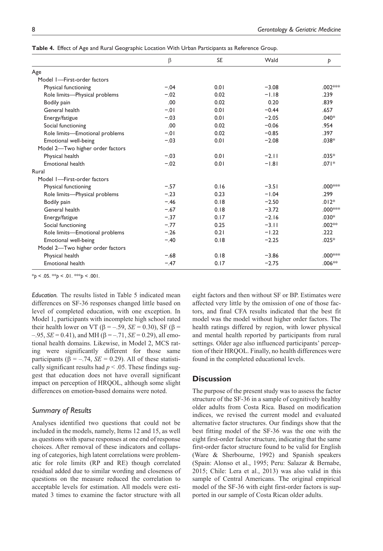|                                  | $\beta$ | <b>SE</b> | Wald    | Þ        |
|----------------------------------|---------|-----------|---------|----------|
| Age                              |         |           |         |          |
| Model 1-First-order factors      |         |           |         |          |
| Physical functioning             | $-.04$  | 0.01      | $-3.08$ | .002 *** |
| Role limits-Physical problems    | $-.02$  | 0.02      | $-1.18$ | .239     |
| Bodily pain                      | .00     | 0.02      | 0.20    | .839     |
| General health                   | $-.01$  | 0.01      | $-0.44$ | .657     |
| Energy/fatigue                   | $-.03$  | 0.01      | $-2.05$ | $.040*$  |
| Social functioning               | .00     | 0.02      | $-0.06$ | .954     |
| Role limits-Emotional problems   | $-.01$  | 0.02      | $-0.85$ | .397     |
| Emotional well-being             | $-.03$  | 0.01      | $-2.08$ | $.038*$  |
| Model 2-Two higher order factors |         |           |         |          |
| Physical health                  | $-.03$  | 0.01      | $-2.11$ | $.035*$  |
| Emotional health                 | $-.02$  | 0.01      | $-1.81$ | $.071*$  |
| Rural                            |         |           |         |          |
| Model I-First-order factors      |         |           |         |          |
| Physical functioning             | $-.57$  | 0.16      | $-3.51$ | .000***  |
| Role limits-Physical problems    | $-.23$  | 0.23      | $-1.04$ | .299     |
| Bodily pain                      | $-.46$  | 0.18      | $-2.50$ | $.012*$  |
| General health                   | $-.67$  | 0.18      | $-3.72$ | .000***  |
| Energy/fatigue                   | $-.37$  | 0.17      | $-2.16$ | $.030*$  |
| Social functioning               | $-.77$  | 0.25      | $-3.11$ | $.002**$ |
| Role limits-Emotional problems   | $-.26$  | 0.21      | $-1.22$ | .222     |
| Emotional well-being             | $-.40$  | 0.18      | $-2.25$ | $.025*$  |
| Model 2-Two higher order factors |         |           |         |          |
| Physical health                  | $-.68$  | 0.18      | $-3.86$ | .000***  |
| Emotional health                 | $-.47$  | 0.17      | $-2.75$ | $.006**$ |
|                                  |         |           |         |          |

**Table 4.** Effect of Age and Rural Geographic Location With Urban Participants as Reference Group.

 $*_{p}$  < .05.  $*_{p}$  < .01.  $*_{p}$  < .001.

*Education.* The results listed in Table 5 indicated mean differences on SF-36 responses changed little based on level of completed education, with one exception. In Model 1, participants with incomplete high school rated their health lower on VT ( $\beta$  = –.59, *SE* = 0.30), SF ( $\beta$  =  $-0.95$ , *SE* = 0.41), and MH (β = –.71, *SE* = 0.29), all emotional health domains. Likewise, in Model 2, MCS rating were significantly different for those same participants ( $β = -.74$ , *SE* = 0.29). All of these statistically significant results had  $p < .05$ . These findings suggest that education does not have overall significant impact on perception of HRQOL, although some slight differences on emotion-based domains were noted.

#### *Summary of Results*

Analyses identified two questions that could not be included in the models, namely, Items 12 and 15, as well as questions with sparse responses at one end of response choices. After removal of these indicators and collapsing of categories, high latent correlations were problematic for role limits (RP and RE) though correlated residual added due to similar wording and closeness of questions on the measure reduced the correlation to acceptable levels for estimation. All models were estimated 3 times to examine the factor structure with all

eight factors and then without SF or BP. Estimates were affected very little by the omission of one of those factors, and final CFA results indicated that the best fit model was the model without higher order factors. The health ratings differed by region, with lower physical and mental health reported by participants from rural settings. Older age also influenced participants' perception of their HRQOL. Finally, no health differences were found in the completed educational levels.

#### **Discussion**

The purpose of the present study was to assess the factor structure of the SF-36 in a sample of cognitively healthy older adults from Costa Rica. Based on modification indices, we revised the current model and evaluated alternative factor structures. Our findings show that the best fitting model of the SF-36 was the one with the eight first-order factor structure, indicating that the same first-order factor structure found to be valid for English (Ware & Sherbourne, 1992) and Spanish speakers (Spain: Alonso et al., 1995; Peru: Salazar & Bernabe, 2015; Chile: Lera et al., 2013) was also valid in this sample of Central Americans. The original empirical model of the SF-36 with eight first-order factors is supported in our sample of Costa Rican older adults.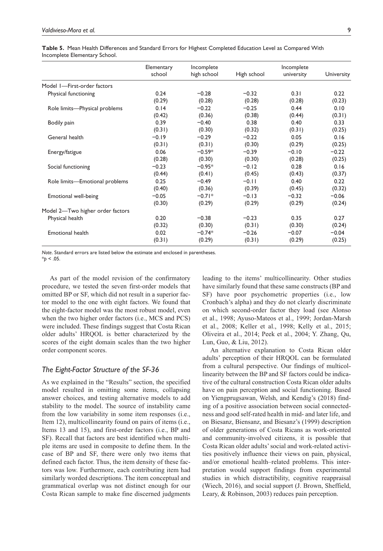**Table 5.** Mean Health Differences and Standard Errors for Highest Completed Education Level as Compared With Incomplete Elementary School.

|                                  | Elementary<br>school | Incomplete<br>high school | High school | Incomplete<br>university | University |
|----------------------------------|----------------------|---------------------------|-------------|--------------------------|------------|
| Model I-First-order factors      |                      |                           |             |                          |            |
| Physical functioning             | 0.24                 | $-0.28$                   | $-0.32$     | 0.31                     | 0.22       |
|                                  | (0.29)               | (0.28)                    | (0.28)      | (0.28)                   | (0.23)     |
| Role limits-Physical problems    | 0.14                 | $-0.22$                   | $-0.25$     | 0.44                     | 0.10       |
|                                  | (0.42)               | (0.36)                    | (0.38)      | (0.44)                   | (0.31)     |
| Bodily pain                      | 0.39                 | $-0.40$                   | 0.38        | 0.40                     | 0.33       |
|                                  | (0.31)               | (0.30)                    | (0.32)      | (0.31)                   | (0.25)     |
| General health                   | $-0.19$              | $-0.29$                   | $-0.22$     | 0.05                     | 0.16       |
|                                  | (0.31)               | (0.31)                    | (0.30)      | (0.29)                   | (0.25)     |
| Energy/fatigue                   | 0.06                 | $-0.59*$                  | $-0.39$     | $-0.10$                  | $-0.22$    |
|                                  | (0.28)               | (0.30)                    | (0.30)      | (0.28)                   | (0.25)     |
| Social functioning               | $-0.23$              | $-0.95*$                  | $-0.12$     | 0.28                     | 0.16       |
|                                  | (0.44)               | (0.41)                    | (0.45)      | (0.43)                   | (0.37)     |
| Role limits-Emotional problems   | 0.25                 | $-0.49$                   | $-0.11$     | 0.40                     | 0.22       |
|                                  | (0.40)               | (0.36)                    | (0.39)      | (0.45)                   | (0.32)     |
| Emotional well-being             | $-0.05$              | $-0.71*$                  | $-0.13$     | $-0.32$                  | $-0.06$    |
|                                  | (0.30)               | (0.29)                    | (0.29)      | (0.29)                   | (0.24)     |
| Model 2-Two higher order factors |                      |                           |             |                          |            |
| Physical health                  | 0.20                 | $-0.38$                   | $-0.23$     | 0.35                     | 0.27       |
|                                  | (0.32)               | (0.30)                    | (0.31)      | (0.30)                   | (0.24)     |
| Emotional health                 | 0.02                 | $-0.74*$                  | $-0.26$     | $-0.07$                  | $-0.04$    |
|                                  | (0.31)               | (0.29)                    | (0.31)      | (0.29)                   | (0.25)     |

*Note*. Standard errors are listed below the estimate and enclosed in parentheses.  $*_{p}$  < .05.

As part of the model revision of the confirmatory procedure, we tested the seven first-order models that omitted BP or SF, which did not result in a superior factor model to the one with eight factors. We found that the eight-factor model was the most robust model, even when the two higher order factors (i.e., MCS and PCS) were included. These findings suggest that Costa Rican older adults' HRQOL is better characterized by the scores of the eight domain scales than the two higher order component scores.

#### *The Eight-Factor Structure of the SF-36*

As we explained in the "Results" section, the specified model resulted in omitting some items, collapsing answer choices, and testing alternative models to add stability to the model. The source of instability came from the low variability in some item responses (i.e., Item 12), multicollinearity found on pairs of items (i.e., Items 13 and 15), and first-order factors (i.e., BP and SF). Recall that factors are best identified when multiple items are used in composite to define them. In the case of BP and SF, there were only two items that defined each factor. Thus, the item density of these factors was low. Furthermore, each contributing item had similarly worded descriptions. The item conceptual and grammatical overlap was not distinct enough for our Costa Rican sample to make fine discerned judgments

leading to the items' multicollinearity. Other studies have similarly found that these same constructs (BP and SF) have poor psychometric properties (i.e., low Cronbach's alpha) and they do not clearly discriminate on which second-order factor they load (see Alonso et al., 1998; Ayuso-Mateos et al., 1999; Jordan-Marsh et al., 2008; Keller et al., 1998; Kelly et al., 2015; Oliveira et al., 2014; Peek et al., 2004; Y. Zhang, Qu, Lun, Guo, & Liu, 2012).

An alternative explanation to Costa Rican older adults' perception of their HRQOL can be formulated from a cultural perspective. Our findings of multicollinearity between the BP and SF factors could be indicative of the cultural construction Costa Rican older adults have on pain perception and social functioning. Based on Yiengprugsawan, Welsh, and Kendig's (2018) finding of a positive association between social connectedness and good self-rated health in mid- and later life, and on Biesanz, Biensanz, and Biesanz's (1999) description of older generations of Costa Ricans as work-oriented and community-involved citizens, it is possible that Costa Rican older adults' social and work-related activities positively influence their views on pain, physical, and/or emotional health–related problems. This interpretation would support findings from experimental studies in which distractibility, cognitive reappraisal (Wiech, 2016), and social support (J. Brown, Sheffield, Leary, & Robinson, 2003) reduces pain perception.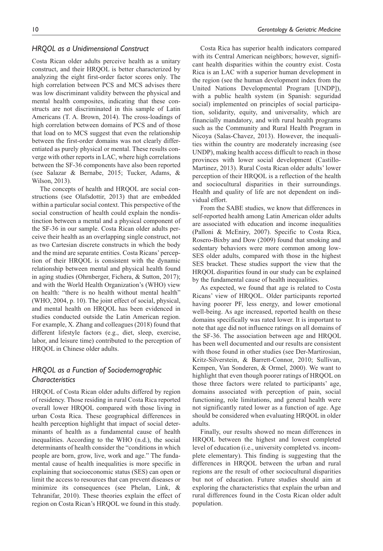#### *HRQOL as a Unidimensional Construct*

Costa Rican older adults perceive health as a unitary construct, and their HRQOL is better characterized by analyzing the eight first-order factor scores only. The high correlation between PCS and MCS advises there was low discriminant validity between the physical and mental health composites, indicating that these constructs are not discriminated in this sample of Latin Americans (T. A. Brown, 2014). The cross-loadings of high correlation between domains of PCS and of those that load on to MCS suggest that even the relationship between the first-order domains was not clearly differentiated as purely physical or mental. These results converge with other reports in LAC, where high correlations between the SF-36 components have also been reported (see Salazar & Bernabe, 2015; Tucker, Adams, & Wilson, 2013).

The concepts of health and HRQOL are social constructions (see Olafsdottir, 2013) that are embedded within a particular social context. This perspective of the social construction of health could explain the nondistinction between a mental and a physical component of the SF-36 in our sample. Costa Rican older adults perceive their health as an overlapping single construct, not as two Cartesian discrete constructs in which the body and the mind are separate entities. Costa Ricans' perception of their HRQOL is consistent with the dynamic relationship between mental and physical health found in aging studies (Ohrnberger, Fichera, & Sutton, 2017); and with the World Health Organization's (WHO) view on health: "there is no health without mental health" (WHO, 2004, p. 10). The joint effect of social, physical, and mental health on HRQOL has been evidenced in studies conducted outside the Latin American region. For example, X. Zhang and colleagues (2018) found that different lifestyle factors (e.g., diet, sleep, exercise, labor, and leisure time) contributed to the perception of HRQOL in Chinese older adults.

#### *HRQOL as a Function of Sociodemographic Characteristics*

HRQOL of Costa Rican older adults differed by region of residency. Those residing in rural Costa Rica reported overall lower HRQOL compared with those living in urban Costa Rica. These geographical differences in health perception highlight that impact of social determinants of health as a fundamental cause of health inequalities. According to the WHO (n.d.), the social determinants of health consider the "conditions in which people are born, grow, live, work and age." The fundamental cause of health inequalities is more specific in explaining that socioeconomic status (SES) can open or limit the access to resources that can prevent diseases or minimize its consequences (see Phelan, Link, & Tehranifar, 2010). These theories explain the effect of region on Costa Rican's HRQOL we found in this study.

Costa Rica has superior health indicators compared with its Central American neighbors; however, significant health disparities within the country exist. Costa Rica is an LAC with a superior human development in the region (see the human development index from the United Nations Developmental Program [UNDP]), with a public health system (in Spanish: seguridad social) implemented on principles of social participation, solidarity, equity, and universality, which are financially mandatory, and with rural health programs such as the Community and Rural Health Program in Nicoya (Salas-Chavez, 2013). However, the inequalities within the country are moderately increasing (see UNDP), making health access difficult to reach in those provinces with lower social development (Castillo-Martinez, 2013). Rural Costa Rican older adults' lower perception of their HRQOL is a reflection of the health and sociocultural disparities in their surroundings. Health and quality of life are not dependent on individual effort.

From the SABE studies, we know that differences in self-reported health among Latin American older adults are associated with education and income inequalities (Palloni & McEniry, 2007). Specific to Costa Rica, Rosero-Bixby and Dow (2009) found that smoking and sedentary behaviors were more common among low-SES older adults, compared with those in the highest SES bracket. These studies support the view that the HRQOL disparities found in our study can be explained by the fundamental cause of health inequalities.

As expected, we found that age is related to Costa Ricans' view of HRQOL. Older participants reported having poorer PF, less energy, and lower emotional well-being. As age increased, reported health on these domains specifically was rated lower. It is important to note that age did not influence ratings on all domains of the SF-36. The association between age and HRQOL has been well documented and our results are consistent with those found in other studies (see Der-Martirosian, Kritz-Silverstein, & Barrett-Connor, 2010; Sullivan, Kempen, Van Sonderen, & Ormel, 2000). We want to highlight that even though poorer ratings of HRQOL on those three factors were related to participants' age, domains associated with perception of pain, social functioning, role limitations, and general health were not significantly rated lower as a function of age. Age should be considered when evaluating HRQOL in older adults.

Finally, our results showed no mean differences in HRQOL between the highest and lowest completed level of education (i.e., university completed vs. incomplete elementary). This finding is suggesting that the differences in HRQOL between the urban and rural regions are the result of other sociocultural disparities but not of education. Future studies should aim at exploring the characteristics that explain the urban and rural differences found in the Costa Rican older adult population.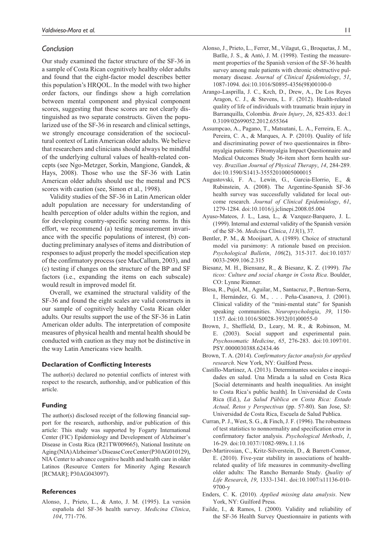#### *Conclusion*

Our study examined the factor structure of the SF-36 in a sample of Costa Rican cognitively healthy older adults and found that the eight-factor model describes better this population's HRQOL. In the model with two higher order factors, our findings show a high correlation between mental component and physical component scores, suggesting that these scores are not clearly distinguished as two separate constructs. Given the popularized use of the SF-36 in research and clinical settings, we strongly encourage consideration of the sociocultural context of Latin American older adults. We believe that researchers and clinicians should always be mindful of the underlying cultural values of health-related concepts (see Ngo-Metzger, Sorkin, Mangione, Gandek, & Hays, 2008). Those who use the SF-36 with Latin American older adults should use the mental and PCS scores with caution (see, Simon et al., 1998).

Validity studies of the SF-36 in Latin American older adult population are necessary for understanding of health perception of older adults within the region, and for developing country-specific scoring norms. In this effort, we recommend (a) testing measurement invariance with the specific populations of interest, (b) conducting preliminary analyses of items and distribution of responses to adjust properly the model specification step of the confirmatory process (see MacCallum, 2003), and (c) testing if changes on the structure of the BP and SF factors (i.e., expanding the items on each subscale) would result in improved model fit.

Overall, we examined the structural validity of the SF-36 and found the eight scales are valid constructs in our sample of cognitively healthy Costa Rican older adults. Our results support the use of the SF-36 in Latin American older adults. The interpretation of composite measures of physical health and mental health should be conducted with caution as they may not be distinctive in the way Latin Americans view health.

#### **Declaration of Conflicting Interests**

The author(s) declared no potential conflicts of interest with respect to the research, authorship, and/or publication of this article.

#### **Funding**

The author(s) disclosed receipt of the following financial support for the research, authorship, and/or publication of this article: This study was supported by Fogarty International Center (FIC) Epidemiology and Development of Alzheimer's Disease in Costa Rica (R21TW009665), National Institute on Aging (NIA) Alzheimer's Disease Core Center (P30AG010129), NIA Center to advance cognitive health and health care in older Latinos (Resource Centers for Minority Aging Research [RCMAR]; P30AG043097).

#### **References**

Alonso, J., Prieto, L., & Anto, J. M. (1995). La versión española del SF-36 health survey. *Medicina Clinica*, *104*, 771-776.

- Alonso, J., Prieto, L., Ferrer, M., Vilagut, G., Broquetas, J. M., Batlle, J. S., & Antó, J. M. (1998). Testing the measurement properties of the Spanish version of the SF-36 health survey among male patients with chronic obstructive pulmonary disease. *Journal of Clinical Epidemiology*, *51*, 1087-1094. doi:10.1016/S0895-4356(98)00100-0
- Arango-Lasprilla, J. C., Krch, D., Drew, A., De Los Reyes Aragon, C. J., & Stevens, L. F. (2012). Health-related quality of life of individuals with traumatic brain injury in Barranquilla, Colombia. *Brain Injury*, *26*, 825-833. doi:1 0.3109/02699052.2012.655364
- Assumpcao, A., Pagano, T., Matsutani, L. A., Ferreira, E. A., Pereira, C. A., & Marques, A. P. (2010). Quality of life and discriminating power of two questionnaires in fibromyalgia patients: Fibromyalgia Impact Questionnaire and Medical Outcomes Study 36-item short form health survey. *Brazilian Journal of Physical Therapy*, *14*, 284-289. doi:10.1590/S1413-35552010005000015
- Augustovski, F. A., Lewin, G., Garcia-Elorrio, E., & Rubinstein, A. (2008). The Argentine-Spanish SF-36 health survey was successfully validated for local outcome research. *Journal of Clinical Epidemiology*, *61*, 1279-1284. doi:10.1016/j.jclinepi.2008.05.004
- Ayuso-Mateos, J. L., Lasa, L., & Vazquez-Barquero, J. L. (1999). Internal and external validity of the Spanish versión of the SF-36. *Medicina Clinica*, *113*(1), 37.
- Bentler, P. M., & Mooijaart, A. (1989). Choice of structural model via parsimony: A rationale based on precision. *Psychological Bulletin*, *106*(2), 315-317. doi:10.1037/ 0033-2909.106.2.315
- Biesanz, M. H., Biensanz, R., & Biesanz, K. Z. (1999). *The ticos: Culture and social change in Costa Rica*. Boulder, CO: Lynne Rienner.
- Blesa, R., Pujol, M., Aguilar, M., Santacruz, P., Bertran-Serra, I., Hernández, G. M., . . . Peña-Casanova, J. (2001). Clinical validity of the "mini-mental state" for Spanish speaking communities. *Neuropsychologia*, *39*, 1150- 1157. doi:10.1016/S0028-3932(01)00055-0
- Brown, J., Sheffield, D., Leary, M. R., & Robinson, M. E. (2003). Social support and experimental pain. *Psychosomatic Medicine*, *65*, 276-283. doi:10.1097/01. PSY.0000030388.62434.46
- Brown, T. A. (2014). *Confirmatory factor analysis for applied research*. New York, NY: Guilford Press.
- Castillo-Martinez, A. (2013). Determinantes sociales e inequidades en salud. Una Mirada a la salud en Costa Rica [Social determinants and health inequalities. An insight to Costa Rica's public health]. In Universidad de Costa Rica (Ed.), *La Salud Pública en Costa Rica: Estado Actual, Retos y Perspectivas* (pp. 57-80). San Jose, SJ: Universidad de Costa Rica, Escuela de Salud Publica.
- Curran, P. J., West, S. G., & Finch, J. F. (1996). The robustness of test statistics to nonnormality and specification error in confirmatory factor analysis. *Psychological Methods*, *1*, 16-29. doi:10.1037//1082-989x.1.1.16
- Der-Martirosian, C., Kritz-Silverstein, D., & Barrett-Connor, E. (2010). Five-year stability in associations of healthrelated quality of life measures in community-dwelling older adults: The Rancho Bernardo Study. *Quality of Life Research*, *19*, 1333-1341. doi:10.1007/s11136-010- 9700-y
- Enders, C. K. (2010). *Applied missing data analysis*. New York, NY: Guilford Press.
- Failde, I., & Ramos, I. (2000). Validity and reliability of the SF-36 Health Survey Questionnaire in patients with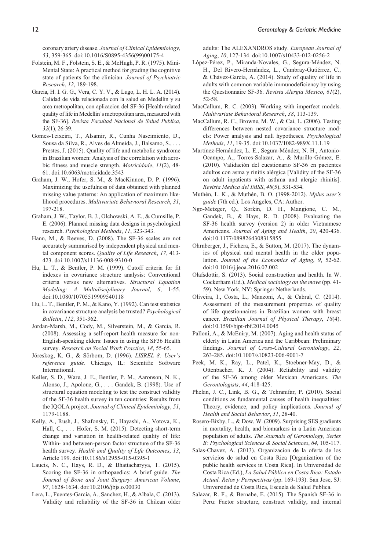coronary artery disease. *Journal of Clinical Epidemiology*, *53*, 359-365. doi:10.1016/S0895-4356(99)00175-4

- Folstein, M. F., Folstein, S. E., & McHugh, P. R. (1975). Mini-Mental State: A practical method for grading the cognitive state of patients for the clinician. *Journal of Psychiatric Research*, *12*, 189-198.
- Garcia, H. I. G. G., Vera, C. Y. V., & Lugo, L. H. L. A. (2014). Calidad de vida relacionada con la salud en Medellin y su area metropolitan, con aplicacion del SF-36 [Health-related quality of life in Medellin's metropolitan area, measured with the SF-36]. *Revista Facultad Nacional de Salud Publica*, *32*(1), 26-39.
- Gomes-Teixeira, T., Alsamir, R., Cunha Nascimiento, D., Sousa da Silva, R., Alves de Almeida, J., Balsamo, S., . . . Prestes, J. (2015). Quality of life and metabolic syndrome in Brazilian women: Analysis of the correlation with aerobic fitness and muscle strength. *Motricidade*, *11*(2), 48- 61. doi:10.6063/motricidade.3543
- Graham, J. W., Hofer, S. M., & MacKinnon, D. P. (1996). Maximizing the usefulness of data obtained with planned missing value patterns: An application of maximum likelihood procedures. *Multivariate Behavioral Research*, *31*, 197-218.
- Graham, J. W., Taylor, B. J., Olchowski, A. E., & Cumsille, P. E. (2006). Planned missing data designs in psychological research. *Psychological Methods*, *11*, 323-343.
- Hann, M., & Reeves, D. (2008). The SF-36 scales are not accurately summarised by independent physical and mental component scores. *Quality of Life Research*, *17*, 413- 423. doi:10.1007/s11136-008-9310-0
- Hu, L. T., & Bentler, P. M. (1999). Cutoff criteria for fit indexes in covariance structure analysis: Conventional criteria versus new alternatives. *Structural Equation Modeling: A Multidisciplinary Journal*, *6*, 1-55. doi:10.1080/10705519909540118
- Hu, L. T., Bentler, P. M., & Kano, Y. (1992). Can test statistics in covariance structure analysis be trusted? *Psychological Bulletin*, *112*, 351-362.
- Jordan-Marsh, M., Cody, M., Silverstein, M., & Garcia, R. (2008). Assessing a self-report health measure for non-English-speaking elders: Issues in using the SF36 Health survey. *Research on Social Work Practice*, *18*, 55-65.
- Jöreskog, K. G., & Sörbom, D. (1996). *LISREL 8: User's reference guide*. Chicago, IL: Scientific Software International.
- Keller, S. D., Ware, J. E., Bentler, P. M., Aaronson, N. K., Alonso, J., Apolone, G., . . . Gandek, B. (1998). Use of structural equation modeling to test the construct validity of the SF-36 health survey in ten countries: Results from the IQOLA project. *Journal of Clinical Epidemiology*, *51*, 1179-1188.
- Kelly, A., Rush, J., Shafonsky, E., Hayashi, A., Votova, K., Hall, C., . . . Hofer, S. M. (2015). Detecting short-term change and variation in health-related quality of life: Within- and between-person factor structure of the SF-36 health survey. *Health and Quality of Life Outcomes*, *13*, Article 199. doi:10.1186/s12955-015-0395-1
- Laucis, N. C., Hays, R. D., & Bhattacharyya, T. (2015). Scoring the SF-36 in orthopaedics: A brief guide. *The Journal of Bone and Joint Surgery: American Volume*, *97*, 1628-1634. doi:10.2106/jbjs.o.00030
- Lera, L., Fuentes-Garcia, A., Sanchez, H., & Albala, C. (2013). Validity and reliability of the SF-36 in Chilean older

adults: The ALEXANDROS study. *European Journal of Aging*, *10*, 127-134. doi:10.1007/s10433-012-0256-2

- López-Pérez, P., Miranda-Novales, G., Segura-Méndez, N. H., Del Rivero-Hernández, L., Cambray-Gutiérrez, C., & Chávez-García, A. (2014). Study of quality of life in adults with common variable immunodeficiency by using the Questionnaire SF-36. *Revista Alergia Mexico*, *61*(2), 52-58.
- MacCallum, R. C. (2003). Working with imperfect models. *Multivariate Behavioral Research*, *38*, 113-139.
- MacCallum, R. C., Browne, M. W., & Cai, L. (2006). Testing differences between nested covariance structure models: Power analysis and null hypotheses. *Psychological Methods*, *11*, 19-35. doi:10.1037/1082-989X.11.1.19
- Martínez-Hernández, L. E., Segura-Méndez, N. H., Antonio-Ocampo, A., Torres-Salazar, A., & Murillo-Gómez, E. (2010). Validación del cuestionario SF-36 en pacientes adultos con asma y rinitis alérgica [Validity of the SF-36 on adult inpatients with asthma and alergic rhinitis]. *Revista Medica del IMSS*, *48*(5), 531-534.
- Muthén, L. K., & Muthén, B. O. (1998-2012). *Mplus user's guide* (7th ed.). Los Angeles, CA: Author.
- Ngo-Metzger, Q., Sorkin, D. H., Mangione, C. M., Gandek, B., & Hays, R. D. (2008). Evaluating the SF-36 health survey (version 2) in older Vietnamese Americans. *Journal of Aging and Health*, *20*, 420-436. doi:10.1177/0898264308315855
- Ohrnberger, J., Fichera, E., & Sutton, M. (2017). The dynamics of physical and mental health in the older population. *Journal of the Economics of Aging*, *9*, 52-62. doi:10.1016/j.jeoa.2016.07.002
- Olafsdottir, S. (2013). Social construction and health. In W. Cockerham (Ed.), *Medical sociology on the move* (pp. 41- 59). New York, NY: Springer Netherlands.
- Oliveira, I., Costa, L., Manzoni, A., & Cabral, C. (2014). Assessment of the measurement properties of quality of life questionnaires in Brazilian women with breast cancer. *Brazilian Journal of Physical Therapy*, *18*(4). doi:10.1590/bjpt-rbf.2014.0045
- Palloni, A., & McEniry, M. (2007). Aging and health status of elderly in Latin America and the Caribbean: Preliminary findings. *Journal of Cross-Cultural Gerontology*, *22*, 263-285. doi:10.1007/s10823-006-9001-7
- Peek, M. K., Ray, L., Patel, K., Stoebner-May, D., & Ottenbacher, K. J. (2004). Reliability and validity of the SF-36 among older Mexican Americans. *The Gerontologists*, *44*, 418-425.
- Phelan, J. C., Link, B. G., & Tehranifar, P. (2010). Social conditions as fundamental causes of health inequalities: Theory, evidence, and policy implications. *Journal of Health and Social Behavior*, *51*, 28-40.
- Rosero-Bixby, L., & Dow, W. (2009). Surprising SES gradients in mortality, health, and biomarkers in a Latin American population of adults. *The Journals of Gerontology, Series B: Psychological Sciences & Social Sciences*, *64*, 105-117.
- Salas-Chavez, A. (2013). Organizacion de la oferta de los servicios de salud en Costa Rica [Organization of the public health services in Costa Rica]. In Universidad de Costa Rica (Ed.), *La Salud Pública en Costa Rica: Estado Actual, Retos y Perspectivas* (pp. 169-193). San Jose, SJ: Universidad de Costa Rica, Escuela de Salud Publica.
- Salazar, R. F., & Bernabe, E. (2015). The Spanish SF-36 in Peru: Factor structure, construct validity, and internal